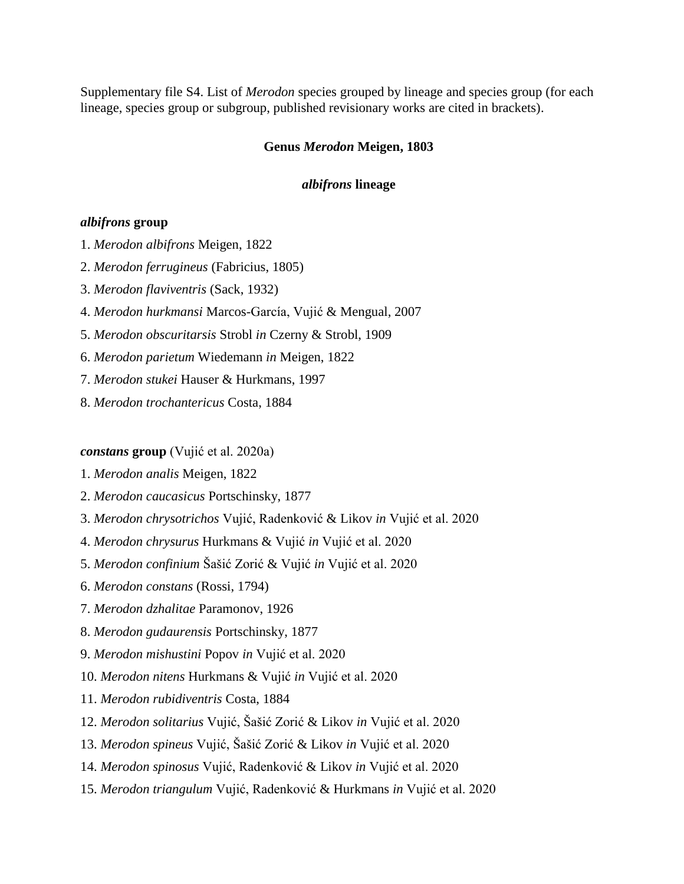Supplementary file S4. List of *Merodon* species grouped by lineage and species group (for each lineage, species group or subgroup, published revisionary works are cited in brackets).

### **Genus** *Merodon* **Meigen, 1803**

### *albifrons* **lineage**

### *albifrons* **group**

- 1. *Merodon albifrons* Meigen, 1822
- 2. *Merodon ferrugineus* (Fabricius, 1805)
- 3. *Merodon flaviventris* (Sack, 1932)
- 4. *Merodon hurkmansi* Marcos-García, Vujić & Mengual, 2007
- 5. *Merodon obscuritarsis* Strobl *in* Czerny & Strobl, 1909
- 6. *Merodon parietum* Wiedemann *in* Meigen, 1822
- 7. *Merodon stukei* Hauser & Hurkmans, 1997
- 8. *Merodon trochantericus* Costa, 1884

#### *constans* **group** (Vujić et al. 2020a)

- 1. *Merodon analis* Meigen, 1822
- 2. *Merodon caucasicus* Portschinsky, 1877
- 3. *Merodon chrysotrichos* Vujić, Radenković & Likov *in* Vujić et al. 2020
- 4. *Merodon chrysurus* Hurkmans & Vujić *in* Vujić et al. 2020
- 5. *Merodon confinium* Šašić Zorić & Vujić *in* Vujić et al. 2020
- 6. *Merodon constans* (Rossi, 1794)
- 7. *Merodon dzhalitae* Paramonov, 1926
- 8. *Merodon gudaurensis* Portschinsky, 1877
- 9. *Merodon mishustini* Popov *in* Vujić et al. 2020
- 10. *Merodon nitens* Hurkmans & Vujić *in* Vujić et al. 2020
- 11. *Merodon rubidiventris* Costa, 1884
- 12. *Merodon solitarius* Vujić, Šašić Zorić & Likov *in* Vujić et al. 2020
- 13. *Merodon spineus* Vujić, Šašić Zorić & Likov *in* Vujić et al. 2020
- 14. *Merodon spinosus* Vujić, Radenković & Likov *in* Vujić et al. 2020
- 15. *Merodon triangulum* Vujić, Radenković & Hurkmans *in* Vujić et al. 2020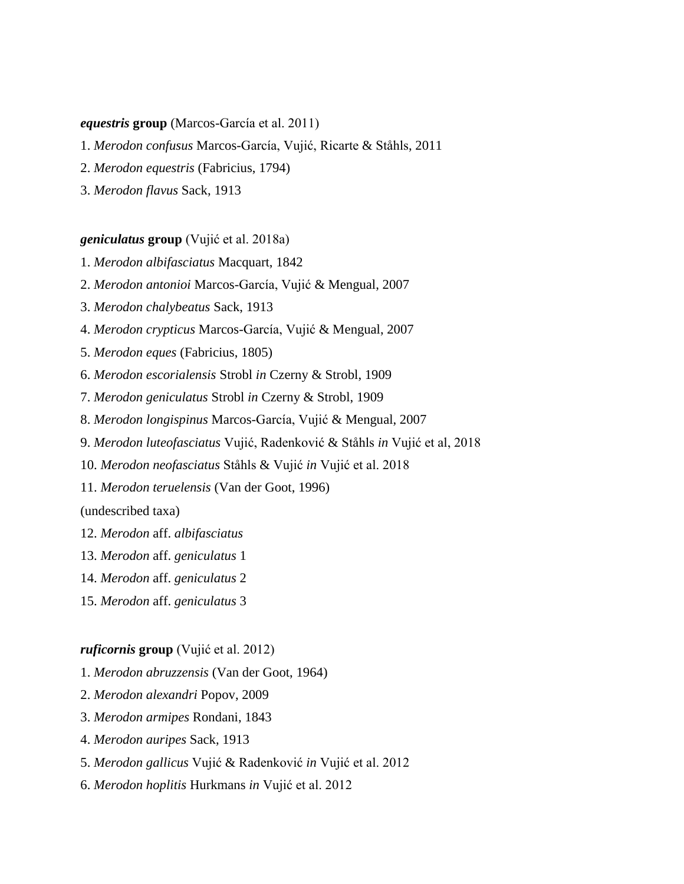### *equestris* **group** (Marcos-García et al. 2011)

- 1. *Merodon confusus* Marcos-García, Vujić, Ricarte & Ståhls, 2011
- 2. *Merodon equestris* (Fabricius, 1794)
- 3. *Merodon flavus* Sack, 1913

### *geniculatus* **group** (Vujić et al. 2018a)

- 1. *Merodon albifasciatus* Macquart, 1842
- 2. *Merodon antonioi* Marcos-García, Vujić & Mengual, 2007
- 3. *Merodon chalybeatus* Sack, 1913
- 4. *Merodon crypticus* Marcos-García, Vujić & Mengual, 2007
- 5. *Merodon eques* (Fabricius, 1805)
- 6. *Merodon escorialensis* Strobl *in* Czerny & Strobl, 1909
- 7. *Merodon geniculatus* Strobl *in* Czerny & Strobl, 1909
- 8. *Merodon longispinus* Marcos-García, Vujić & Mengual, 2007
- 9. *Merodon luteofasciatus* Vujić, Radenković & Ståhls *in* Vujić et al, 2018
- 10. *Merodon neofasciatus* Ståhls & Vujić *in* Vujić et al. 2018
- 11. *Merodon teruelensis* (Van der Goot, 1996)

(undescribed taxa)

- 12. *Merodon* aff. *albifasciatus*
- 13. *Merodon* aff. *geniculatus* 1
- 14. *Merodon* aff. *geniculatus* 2
- 15. *Merodon* aff. *geniculatus* 3

#### *ruficornis* **group** (Vujić et al. 2012)

- 1. *Merodon abruzzensis* (Van der Goot, 1964)
- 2. *Merodon alexandri* Popov, 2009
- 3. *Merodon armipes* Rondani, 1843
- 4. *Merodon auripes* Sack, 1913
- 5. *Merodon gallicus* Vujić & Radenković *in* Vujić et al. 2012
- 6. *Merodon hoplitis* Hurkmans *in* Vujić et al. 2012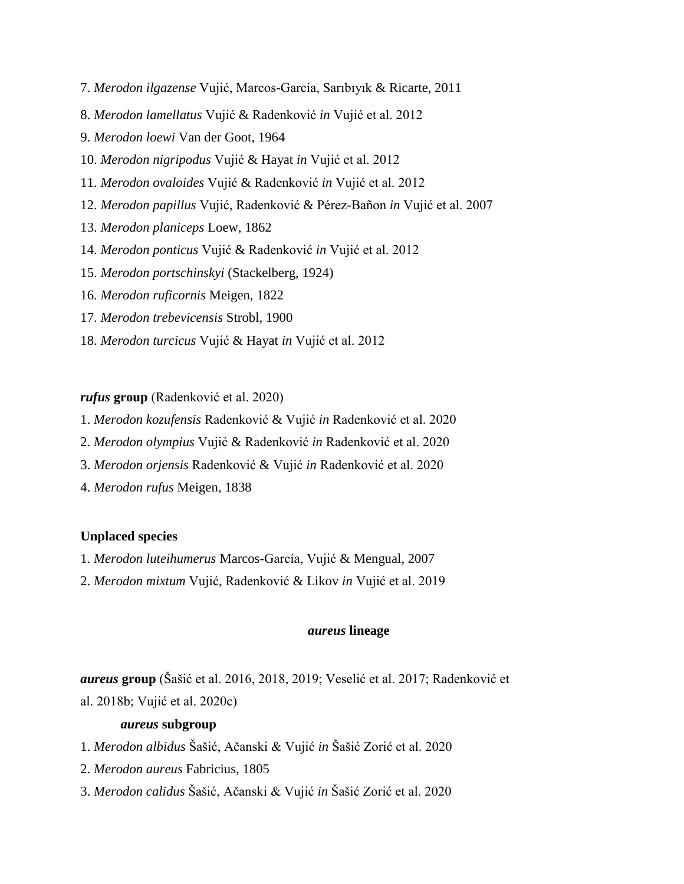- 7. *Merodon ilgazense* Vujić, Marcos-García, Sarıbıyık & Ricarte, 2011
- 8. *Merodon lamellatus* Vujić & Radenković *in* Vujić et al. 2012
- 9. *Merodon loewi* Van der Goot, 1964
- 10. *Merodon nigripodus* Vujić & Hayat *in* Vujić et al. 2012
- 11. *Merodon ovaloides* Vujić & Radenković *in* Vujić et al. 2012
- 12. *Merodon papillus* Vujić, Radenković & Pérez-Bañon *in* Vujić et al. 2007
- 13. *Merodon planiceps* Loew, 1862
- 14. *Merodon ponticus* Vujić & Radenković *in* Vujić et al. 2012
- 15. *Merodon portschinskyi* (Stackelberg, 1924)
- 16. *Merodon ruficornis* Meigen, 1822
- 17. *Merodon trebevicensis* Strobl, 1900
- 18. *Merodon turcicus* Vujić & Hayat *in* Vujić et al. 2012

#### *rufus* **group** (Radenković et al. 2020)

- 1. *Merodon kozufensis* Radenković & Vujić *in* Radenković et al. 2020
- 2. *Merodon olympius* Vujić & Radenković *in* Radenković et al. 2020
- 3. *Merodon orjensis* Radenković & Vujić *in* Radenković et al. 2020
- 4. *Merodon rufus* Meigen, 1838

### **Unplaced species**

- 1. *Merodon luteihumerus* Marcos-García, Vujić & Mengual, 2007
- 2. *Merodon mixtum* Vujić, Radenković & Likov *in* Vujić et al. 2019

# *aureus* **lineage**

*aureus* **group** (Šašić et al. 2016, 2018, 2019; Veselić et al. 2017; Radenković et al. 2018b; Vujić et al. 2020c)

## *aureus* **subgroup**

- 1. *Merodon albidus* Šašić, Ačanski & Vujić *in* Šašić Zorić et al. 2020
- 2. *Merodon aureus* Fabricius, 1805
- 3. *Merodon calidus* Šašić, Ačanski & Vujić *in* Šašić Zorić et al. 2020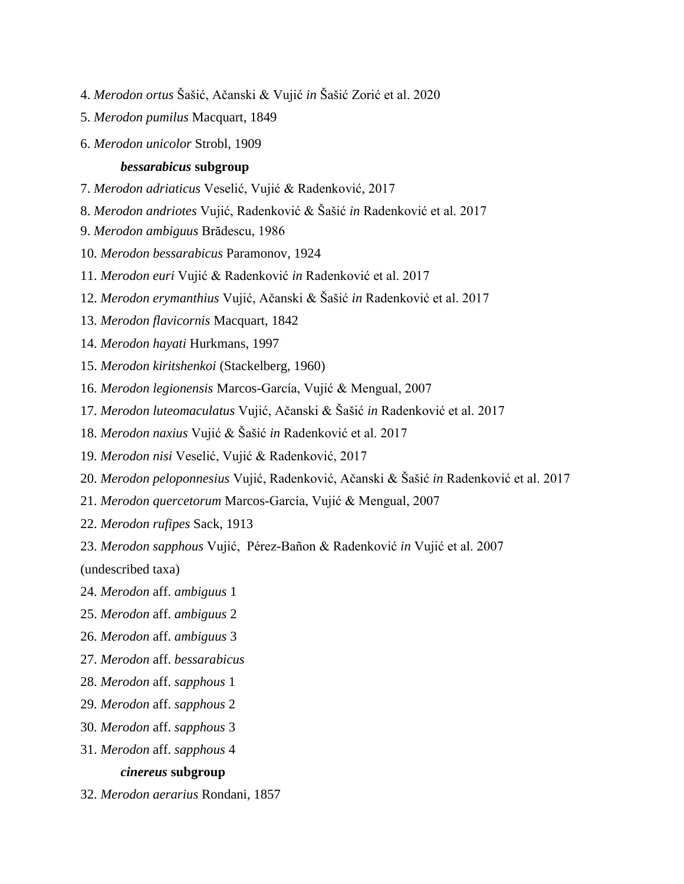- 4. *Merodon ortus* Šašić, Ačanski & Vujić *in* Šašić Zorić et al. 2020
- 5. *Merodon pumilus* Macquart, 1849
- 6. *Merodon unicolor* Strobl, 1909

#### *bessarabicus* **subgroup**

- 7. *Merodon adriaticus* Veselić, Vujić & Radenković, 2017
- 8. *Merodon andriotes* Vujić, Radenković & Šašić *in* Radenković et al. 2017
- 9. *Merodon ambiguus* Brădescu, 1986
- 10. *Merodon bessarabicus* Paramonov, 1924
- 11. *Merodon euri* Vujić & Radenković *in* Radenković et al. 2017
- 12. *Merodon erymanthius* Vujić, Ačanski & Šašić *in* Radenković et al. 2017
- 13. *Merodon flavicornis* Macquart, 1842
- 14. *Merodon hayati* Hurkmans, 1997
- 15. *Merodon kiritshenkoi* (Stackelberg, 1960)
- 16. *Merodon legionensis* Marcos-García, Vujić & Mengual, 2007
- 17. *Merodon luteomaculatus* Vujić, Ačanski & Šašić *in* Radenković et al. 2017
- 18. *Merodon naxius* Vujić & Šašić *in* Radenković et al. 2017
- 19. *Merodon nisi* Veselić, Vujić & Radenković, 2017
- 20. *Merodon peloponnesius* Vujić, Radenković, Ačanski & Šašić *in* Radenković et al. 2017
- 21. *Merodon quercetorum* Marcos-García, Vujić & Mengual, 2007
- 22. *Merodon rufipes* Sack, 1913
- 23. *Merodon sapphous* Vujić, Pérez-Bañon & Radenković *in* Vujić et al. 2007

(undescribed taxa)

- 24. *Merodon* aff. *ambiguus* 1
- 25. *Merodon* aff. *ambiguus* 2
- 26. *Merodon* aff. *ambiguus* 3
- 27. *Merodon* aff. *bessarabicus*
- 28. *Merodon* aff. *sapphous* 1
- 29. *Merodon* aff. *sapphous* 2
- 30. *Merodon* aff. *sapphous* 3
- 31. *Merodon* aff. *sapphous* 4

### *cinereus* **subgroup**

32. *Merodon aerarius* Rondani, 1857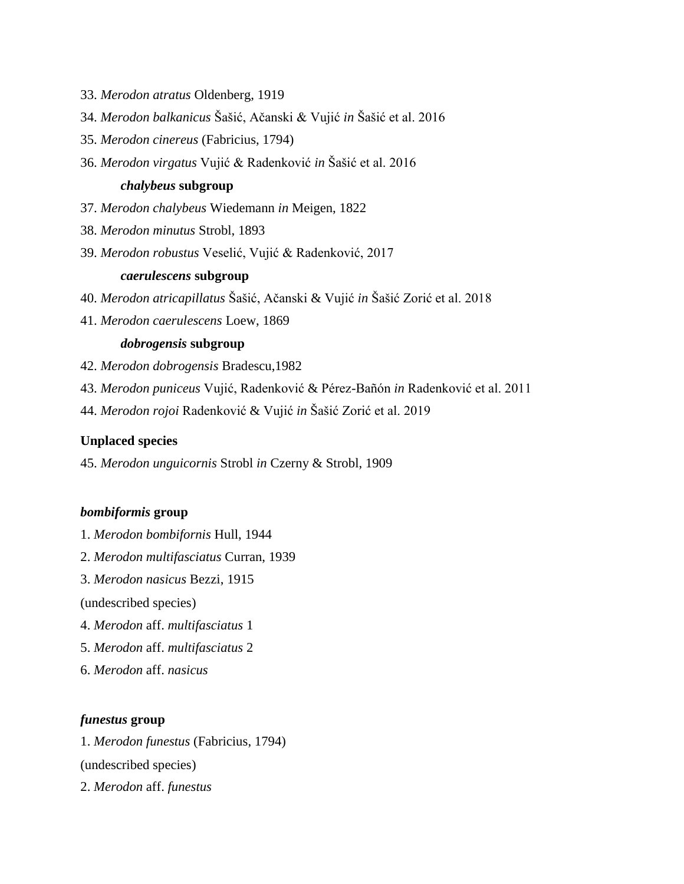- 33. *Merodon atratus* Oldenberg, 1919
- 34. *Merodon balkanicus* Šašić, Ačanski & Vujić *in* Šašić et al. 2016
- 35. *Merodon cinereus* (Fabricius, 1794)
- 36. *Merodon virgatus* Vujić & Radenković *in* Šašić et al. 2016

### *chalybeus* **subgroup**

- 37. *Merodon chalybeus* Wiedemann *in* Meigen, 1822
- 38. *Merodon minutus* Strobl, 1893
- 39. *Merodon robustus* Veselić, Vujić & Radenković, 2017

## *caerulescens* **subgroup**

- 40. *Merodon atricapillatus* Šašić, Ačanski & Vujić *in* Šašić Zorić et al. 2018
- 41. *Merodon caerulescens* Loew, 1869

# *dobrogensis* **subgroup**

- 42. *Merodon dobrogensis* Bradescu,1982
- 43. *Merodon puniceus* Vujić, Radenković & Pérez-Bañón *in* Radenković et al. 2011
- 44. *Merodon rojoi* Radenković & Vujić *in* Šašić Zorić et al. 2019

### **Unplaced species**

45. *Merodon unguicornis* Strobl *in* Czerny & Strobl, 1909

### *bombiformis* **group**

- 1. *Merodon bombifornis* Hull, 1944
- 2. *Merodon multifasciatus* Curran, 1939
- 3. *Merodon nasicus* Bezzi, 1915

(undescribed species)

- 4. *Merodon* aff. *multifasciatus* 1
- 5. *Merodon* aff. *multifasciatus* 2
- 6. *Merodon* aff. *nasicus*

### *funestus* **group**

1. *Merodon funestus* (Fabricius, 1794) (undescribed species) 2. *Merodon* aff. *funestus*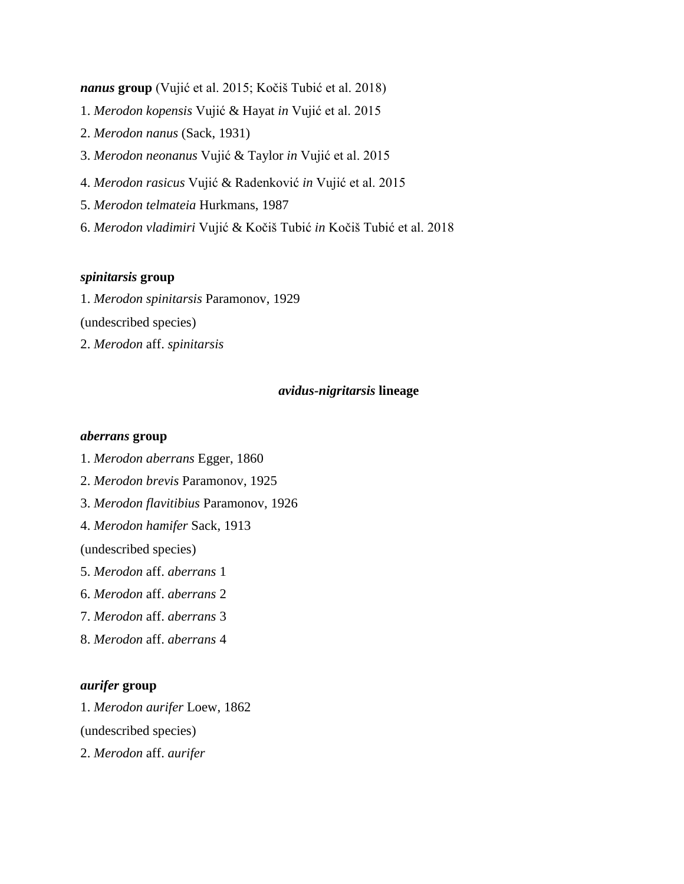- *nanus* **group** (Vujić et al. 2015; Kočiš Tubić et al. 2018) 1. *Merodon kopensis* Vujić & Hayat *in* Vujić et al. 2015 2. *Merodon nanus* (Sack, 1931) 3. *Merodon neonanus* Vujić & Taylor *in* Vujić et al. 2015 4. *Merodon rasicus* Vujić & Radenković *in* Vujić et al. 2015 5. *Merodon telmateia* Hurkmans, 1987
- 6. *Merodon vladimiri* Vujić & Kočiš Tubić *in* Kočiš Tubić et al. 2018

## *spinitarsis* **group**

1. *Merodon spinitarsis* Paramonov, 1929 (undescribed species) 2. *Merodon* aff. *spinitarsis*

### *avidus-nigritarsis* **lineage**

### *aberrans* **group**

1. *Merodon aberrans* Egger, 1860

2. *Merodon brevis* Paramonov, 1925

3. *Merodon flavitibius* Paramonov, 1926

4. *Merodon hamifer* Sack, 1913

(undescribed species)

- 5. *Merodon* aff. *aberrans* 1
- 6. *Merodon* aff. *aberrans* 2
- 7. *Merodon* aff. *aberrans* 3
- 8. *Merodon* aff. *aberrans* 4

#### *aurifer* **group**

1. *Merodon aurifer* Loew, 1862

(undescribed species)

2. *Merodon* aff. *aurifer*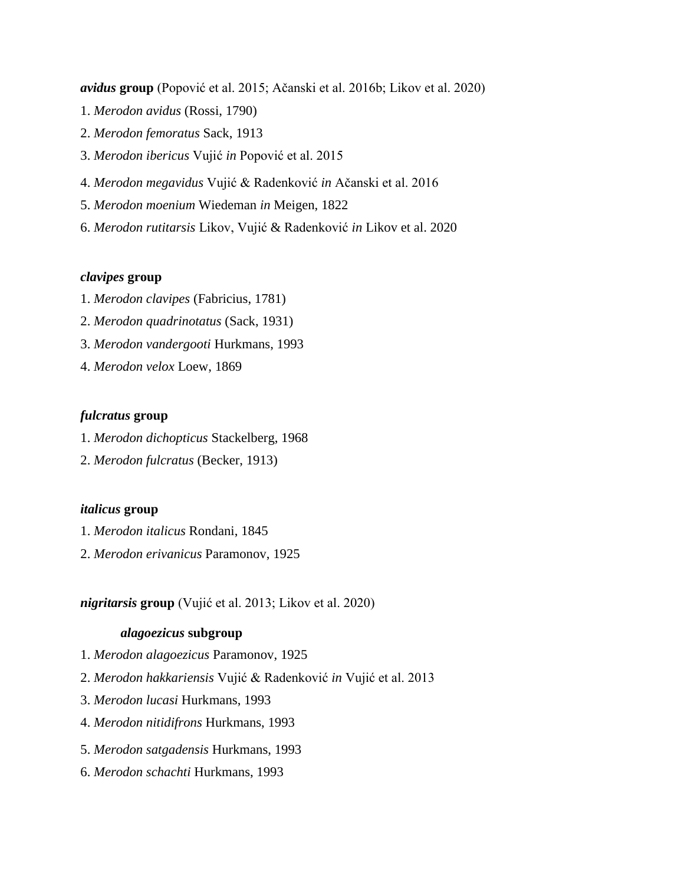- *avidus* **group** (Popović et al. 2015; Ačanski et al. 2016b; Likov et al. 2020) 1. *Merodon avidus* (Rossi, 1790) 2. *Merodon femoratus* Sack, 1913 3. *Merodon ibericus* Vujić *in* Popović et al. 2015 4. *Merodon megavidus* Vujić & Radenković *in* Ačanski et al. 2016 5. *Merodon moenium* Wiedeman *in* Meigen, 1822
- 6. *Merodon rutitarsis* Likov, Vujić & Radenković *in* Likov et al. 2020

## *clavipes* **group**

- 1. *Merodon clavipes* (Fabricius, 1781)
- 2. *Merodon quadrinotatus* (Sack, 1931)
- 3. *Merodon vandergooti* Hurkmans, 1993
- 4. *Merodon velox* Loew, 1869

### *fulcratus* **group**

- 1. *Merodon dichopticus* Stackelberg, 1968
- 2. *Merodon fulcratus* (Becker, 1913)

### *italicus* **group**

- 1. *Merodon italicus* Rondani, 1845
- 2. *Merodon erivanicus* Paramonov, 1925

*nigritarsis* **group** (Vujić et al. 2013; Likov et al. 2020)

### *alagoezicus* **subgroup**

- 1. *Merodon alagoezicus* Paramonov, 1925
- 2. *Merodon hakkariensis* Vujić & Radenković *in* Vujić et al. 2013
- 3. *Merodon lucasi* Hurkmans, 1993
- 4. *Merodon nitidifrons* Hurkmans, 1993
- 5. *Merodon satgadensis* Hurkmans, 1993
- 6. *Merodon schachti* Hurkmans, 1993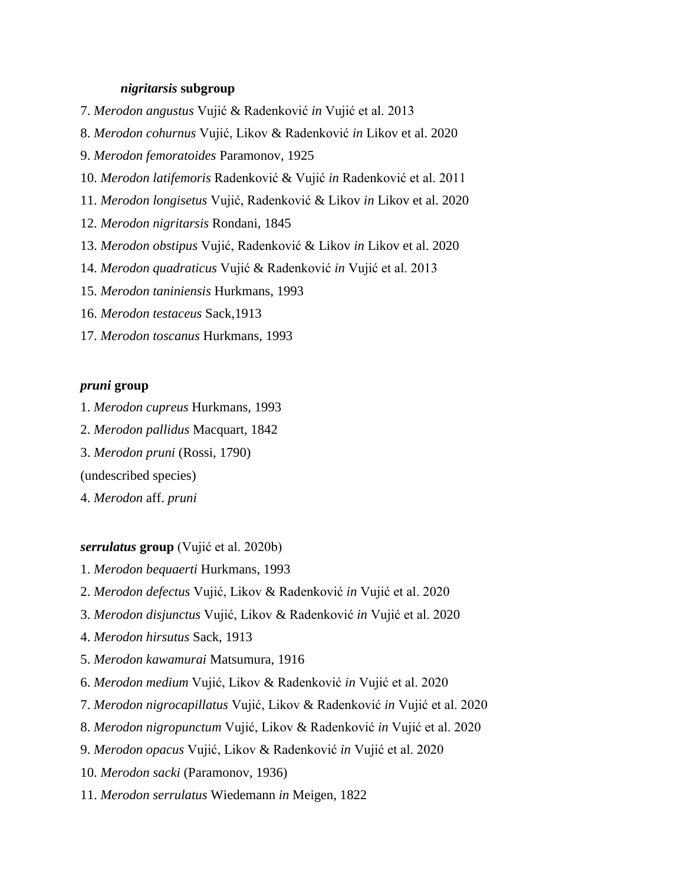### *nigritarsis* **subgroup**

- 7. *Merodon angustus* Vujić & Radenković *in* Vujić et al. 2013
- 8. *Merodon cohurnus* Vujić, Likov & Radenković *in* Likov et al. 2020
- 9. *Merodon femoratoides* Paramonov, 1925
- 10. *Merodon latifemoris* Radenković & Vujić *in* Radenković et al. 2011
- 11. *Merodon longisetus* Vujić, Radenković & Likov *in* Likov et al. 2020
- 12. *Merodon nigritarsis* Rondani, 1845
- 13. *Merodon obstipus* Vujić, Radenković & Likov *in* Likov et al. 2020
- 14. *Merodon quadraticus* Vujić & Radenković *in* Vujić et al. 2013
- 15. *Merodon taniniensis* Hurkmans, 1993
- 16. *Merodon testaceus* Sack,1913
- 17. *Merodon toscanus* Hurkmans, 1993

### *pruni* **group**

- 1. *Merodon cupreus* Hurkmans, 1993
- 2. *Merodon pallidus* Macquart, 1842
- 3. *Merodon pruni* (Rossi, 1790)
- (undescribed species)
- 4. *Merodon* aff. *pruni*

#### *serrulatus* **group** (Vujić et al. 2020b)

- 1. *Merodon bequaerti* Hurkmans, 1993
- 2. *Merodon defectus* Vujić, Likov & Radenković *in* Vujić et al. 2020
- 3. *Merodon disjunctus* Vujić, Likov & Radenković *in* Vujić et al. 2020
- 4. *Merodon hirsutus* Sack, 1913
- 5. *Merodon kawamurai* Matsumura, 1916
- 6. *Merodon medium* Vujić, Likov & Radenković *in* Vujić et al. 2020
- 7. *Merodon nigrocapillatus* Vujić, Likov & Radenković *in* Vujić et al. 2020
- 8. *Merodon nigropunctum* Vujić, Likov & Radenković *in* Vujić et al. 2020
- 9. *Merodon opacus* Vujić, Likov & Radenković *in* Vujić et al. 2020
- 10. *Merodon sacki* (Paramonov, 1936)
- 11. *Merodon serrulatus* Wiedemann *in* Meigen, 1822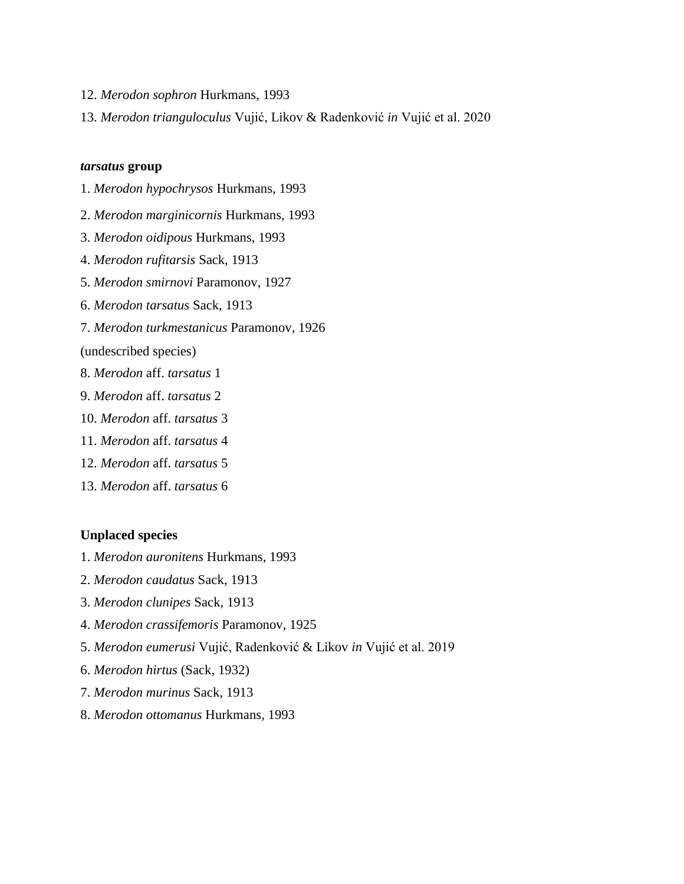- 12. *Merodon sophron* Hurkmans, 1993
- 13. *Merodon trianguloculus* Vujić, Likov & Radenković *in* Vujić et al. 2020

### *tarsatus* **group**

- 1. *Merodon hypochrysos* Hurkmans, 1993
- 2. *Merodon marginicornis* Hurkmans, 1993
- 3. *Merodon oidipous* Hurkmans, 1993
- 4. *Merodon rufitarsis* Sack, 1913
- 5. *Merodon smirnovi* Paramonov, 1927
- 6. *Merodon tarsatus* Sack, 1913
- 7. *Merodon turkmestanicus* Paramonov, 1926

(undescribed species)

- 8. *Merodon* aff. *tarsatus* 1
- 9. *Merodon* aff. *tarsatus* 2
- 10. *Merodon* aff. *tarsatus* 3
- 11. *Merodon* aff. *tarsatus* 4
- 12. *Merodon* aff. *tarsatus* 5
- 13. *Merodon* aff. *tarsatus* 6

### **Unplaced species**

- 1. *Merodon auronitens* Hurkmans, 1993
- 2. *Merodon caudatus* Sack, 1913
- 3. *Merodon clunipes* Sack, 1913
- 4. *Merodon crassifemoris* Paramonov, 1925
- 5. *Merodon eumerusi* Vujić, Radenković & Likov *in* Vujić et al. 2019
- 6. *Merodon hirtus* (Sack, 1932)
- 7. *Merodon murinus* Sack, 1913
- 8. *Merodon ottomanus* Hurkmans, 1993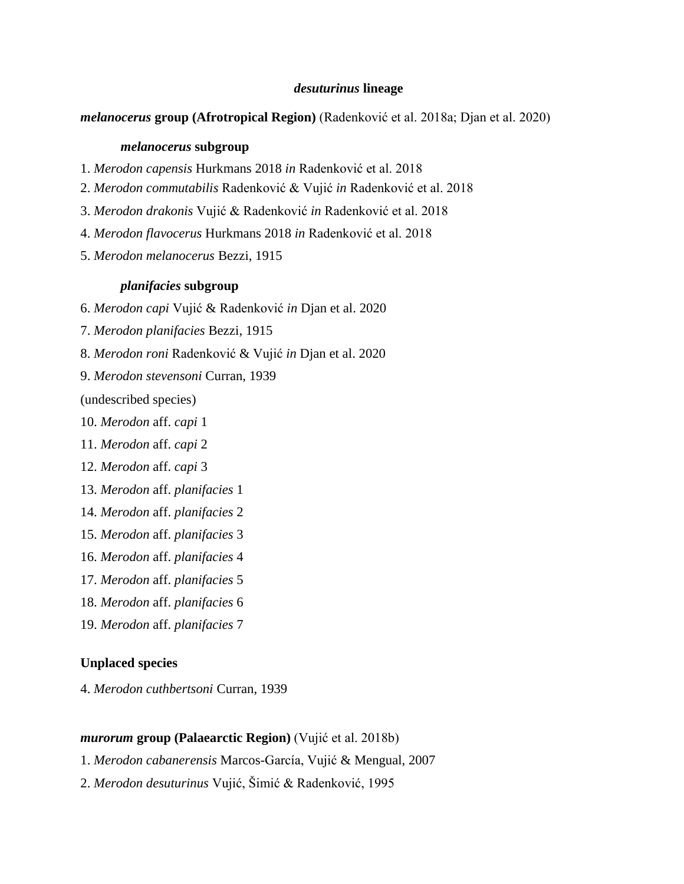## *desuturinus* **lineage**

#### *melanocerus* **group (Afrotropical Region)** (Radenković et al. 2018a; Djan et al. 2020)

#### *melanocerus* **subgroup**

- 1. *Merodon capensis* Hurkmans 2018 *in* Radenković et al. 2018
- 2. *Merodon commutabilis* Radenković & Vujić *in* Radenković et al. 2018
- 3. *Merodon drakonis* Vujić & Radenković *in* Radenković et al. 2018
- 4. *Merodon flavocerus* Hurkmans 2018 *in* Radenković et al. 2018
- 5. *Merodon melanocerus* Bezzi, 1915

### *planifacies* **subgroup**

- 6. *Merodon capi* Vujić & Radenković *in* Djan et al. 2020
- 7. *Merodon planifacies* Bezzi, 1915
- 8. *Merodon roni* Radenković & Vujić *in* Djan et al. 2020
- 9. *Merodon stevensoni* Curran, 1939

(undescribed species)

- 10. *Merodon* aff. *capi* 1
- 11. *Merodon* aff. *capi* 2
- 12. *Merodon* aff. *capi* 3
- 13. *Merodon* aff. *planifacies* 1
- 14. *Merodon* aff. *planifacies* 2
- 15. *Merodon* aff. *planifacies* 3
- 16. *Merodon* aff. *planifacies* 4
- 17. *Merodon* aff. *planifacies* 5
- 18. *Merodon* aff. *planifacies* 6
- 19. *Merodon* aff. *planifacies* 7

#### **Unplaced species**

4. *Merodon cuthbertsoni* Curran, 1939

#### *murorum* **group (Palaearctic Region)** (Vujić et al. 2018b)

- 1. *Merodon cabanerensis* Marcos-García, Vujić & Mengual, 2007
- 2. *Merodon desuturinus* Vujić, Šimić & Radenković, 1995